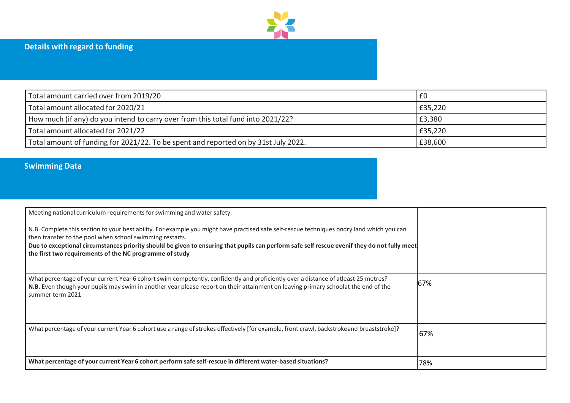

| Total amount carried over from 2019/20                                              | £0      |
|-------------------------------------------------------------------------------------|---------|
| Total amount allocated for 2020/21                                                  | £35,220 |
| How much (if any) do you intend to carry over from this total fund into 2021/22?    | £3,380  |
| Total amount allocated for 2021/22                                                  | £35,220 |
| Total amount of funding for 2021/22. To be spent and reported on by 31st July 2022. | £38,600 |

## **Swimming Data**

| Meeting national curriculum requirements for swimming and water safety.<br>N.B. Complete this section to your best ability. For example you might have practised safe self-rescue techniques ondry land which you can<br>then transfer to the pool when school swimming restarts.<br>Due to exceptional circumstances priority should be given to ensuring that pupils can perform safe self rescue evenif they do not fully meet<br>the first two requirements of the NC programme of study |     |
|----------------------------------------------------------------------------------------------------------------------------------------------------------------------------------------------------------------------------------------------------------------------------------------------------------------------------------------------------------------------------------------------------------------------------------------------------------------------------------------------|-----|
| What percentage of your current Year 6 cohort swim competently, confidently and proficiently over a distance of atleast 25 metres?<br>N.B. Even though your pupils may swim in another year please report on their attainment on leaving primary schoolat the end of the<br>summer term 2021                                                                                                                                                                                                 | 67% |
| What percentage of your current Year 6 cohort use a range of strokes effectively [for example, front crawl, backstrokeand breaststroke]?                                                                                                                                                                                                                                                                                                                                                     | 67% |
| What percentage of your current Year 6 cohort perform safe self-rescue in different water-based situations?                                                                                                                                                                                                                                                                                                                                                                                  | 78% |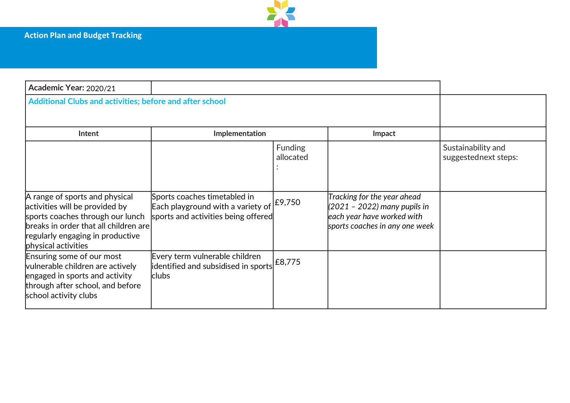

| Academic Year: 2020/21                                                                                                                                                                                   |                                                                                                          |                             |                                                                                                                             |                                            |
|----------------------------------------------------------------------------------------------------------------------------------------------------------------------------------------------------------|----------------------------------------------------------------------------------------------------------|-----------------------------|-----------------------------------------------------------------------------------------------------------------------------|--------------------------------------------|
| Additional Clubs and activities; before and after school                                                                                                                                                 |                                                                                                          |                             |                                                                                                                             |                                            |
| Intent                                                                                                                                                                                                   | Implementation                                                                                           |                             | Impact                                                                                                                      |                                            |
|                                                                                                                                                                                                          |                                                                                                          | <b>Funding</b><br>allocated |                                                                                                                             | Sustainability and<br>suggestednext steps: |
| A range of sports and physical<br>activities will be provided by<br>sports coaches through our lunch<br>breaks in order that all children are<br>regularly engaging in productive<br>physical activities | Sports coaches timetabled in<br>Each playground with a variety of<br>sports and activities being offered | £9,750                      | Tracking for the year ahead<br>(2021 – 2022) many pupils in<br>each year have worked with<br>sports coaches in any one week |                                            |
| Ensuring some of our most<br>vulnerable children are actively<br>engaged in sports and activity<br>through after school, and before<br>school activity clubs                                             | Every term vulnerable children<br>$\vert$ identified and subsidised in sports $\vert$ £8,775<br>clubs    |                             |                                                                                                                             |                                            |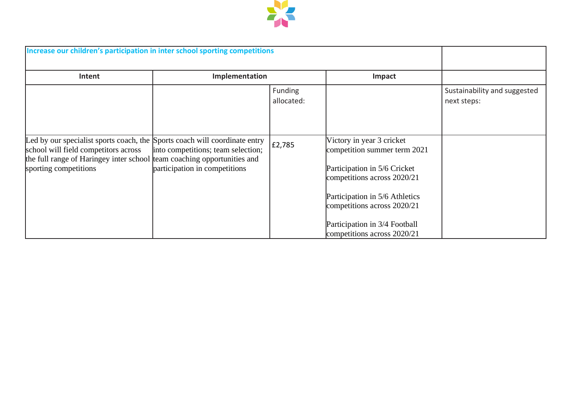

| Increase our children's participation in inter school sporting competitions                                                                                                                                            |                                                                     |                       |                                                                                                                                                                                                                                                           |                                             |
|------------------------------------------------------------------------------------------------------------------------------------------------------------------------------------------------------------------------|---------------------------------------------------------------------|-----------------------|-----------------------------------------------------------------------------------------------------------------------------------------------------------------------------------------------------------------------------------------------------------|---------------------------------------------|
| Intent                                                                                                                                                                                                                 | Implementation                                                      |                       | Impact                                                                                                                                                                                                                                                    |                                             |
|                                                                                                                                                                                                                        |                                                                     | Funding<br>allocated: |                                                                                                                                                                                                                                                           | Sustainability and suggested<br>next steps: |
| Led by our specialist sports coach, the Sports coach will coordinate entry<br>school will field competitors across<br>the full range of Haringey inter school team coaching opportunities and<br>sporting competitions | into competitions; team selection;<br>participation in competitions | £2,785                | Victory in year 3 cricket<br>competition summer term 2021<br>Participation in 5/6 Cricket<br>competitions across 2020/21<br>Participation in 5/6 Athletics<br>competitions across 2020/21<br>Participation in 3/4 Football<br>competitions across 2020/21 |                                             |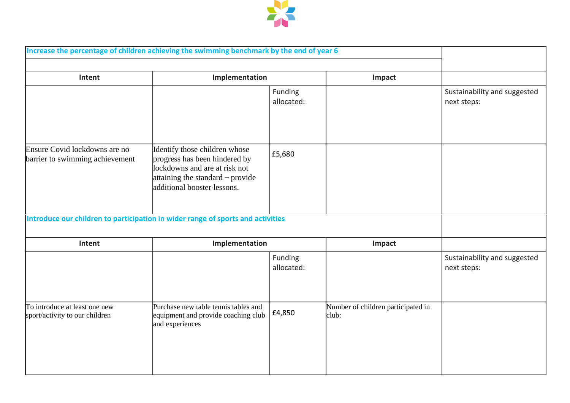

|                                                                  | Increase the percentage of children achieving the swimming benchmark by the end of year 6                                                                          |                       |                                             |                                             |
|------------------------------------------------------------------|--------------------------------------------------------------------------------------------------------------------------------------------------------------------|-----------------------|---------------------------------------------|---------------------------------------------|
| Intent                                                           | Implementation                                                                                                                                                     |                       | Impact                                      |                                             |
|                                                                  |                                                                                                                                                                    | Funding<br>allocated: |                                             | Sustainability and suggested<br>next steps: |
| Ensure Covid lockdowns are no<br>barrier to swimming achievement | Identify those children whose<br>progress has been hindered by<br>lockdowns and are at risk not<br>attaining the standard - provide<br>additional booster lessons. | £5,680                |                                             |                                             |
|                                                                  | Introduce our children to participation in wider range of sports and activities                                                                                    |                       |                                             |                                             |
| Intent                                                           | Implementation                                                                                                                                                     |                       | Impact                                      |                                             |
|                                                                  |                                                                                                                                                                    | Funding<br>allocated: |                                             | Sustainability and suggested<br>next steps: |
| To introduce at least one new<br>sport/activity to our children  | Purchase new table tennis tables and<br>equipment and provide coaching club<br>and experiences                                                                     | £4,850                | Number of children participated in<br>club: |                                             |